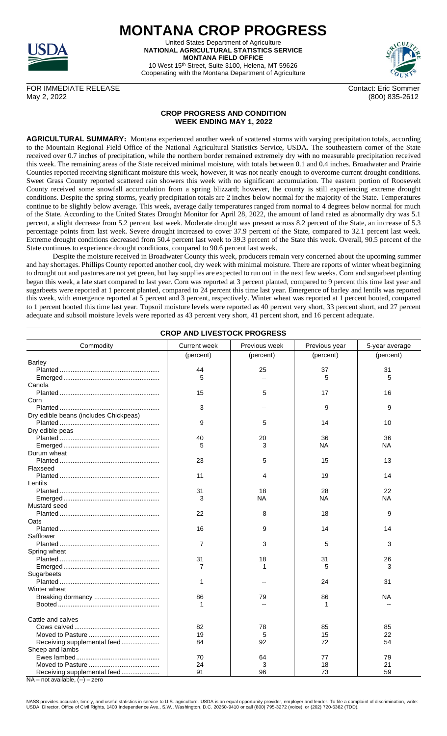

**MONTANA CROP PROGRESS** United States Department of Agriculture **NATIONAL AGRICULTURAL STATISTICS SERVICE MONTANA FIELD OFFICE**

10 West 15th Street, Suite 3100, Helena, MT 59626 Cooperating with the Montana Department of Agriculture



(800) 835-2612

FOR IMMEDIATE RELEASE Contact: Eric Sommer<br>May 2, 2022 (800) 835-2612

## **CROP PROGRESS AND CONDITION WEEK ENDING MAY 1, 2022**

**AGRICULTURAL SUMMARY:** Montana experienced another week of scattered storms with varying precipitation totals, according to the Mountain Regional Field Office of the National Agricultural Statistics Service, USDA. The southeastern corner of the State received over 0.7 inches of precipitation, while the northern border remained extremely dry with no measurable precipitation received this week. The remaining areas of the State received minimal moisture, with totals between 0.1 and 0.4 inches. Broadwater and Prairie Counties reported receiving significant moisture this week, however, it was not nearly enough to overcome current drought conditions. Sweet Grass County reported scattered rain showers this week with no significant accumulation. The eastern portion of Roosevelt County received some snowfall accumulation from a spring blizzard; however, the county is still experiencing extreme drought conditions. Despite the spring storms, yearly precipitation totals are 2 inches below normal for the majority of the State. Temperatures continue to be slightly below average. This week, average daily temperatures ranged from normal to 4 degrees below normal for much of the State. According to the United States Drought Monitor for April 28, 2022, the amount of land rated as abnormally dry was 5.1 percent, a slight decrease from 5.2 percent last week. Moderate drought was present across 8.2 percent of the State, an increase of 5.3 percentage points from last week. Severe drought increased to cover 37.9 percent of the State, compared to 32.1 percent last week. Extreme drought conditions decreased from 50.4 percent last week to 39.3 percent of the State this week. Overall, 90.5 percent of the State continues to experience drought conditions, compared to 90.6 percent last week.

Despite the moisture received in Broadwater County this week, producers remain very concerned about the upcoming summer and hay shortages. Phillips County reported another cool, dry week with minimal moisture. There are reports of winter wheat beginning to drought out and pastures are not yet green, but hay supplies are expected to run out in the next few weeks. Corn and sugarbeet planting began this week, a late start compared to last year. Corn was reported at 3 percent planted, compared to 9 percent this time last year and sugarbeets were reported at 1 percent planted, compared to 24 percent this time last year. Emergence of barley and lentils was reported this week, with emergence reported at 5 percent and 3 percent, respectively. Winter wheat was reported at 1 percent booted, compared to 1 percent booted this time last year. Topsoil moisture levels were reported as 40 percent very short, 33 percent short, and 27 percent adequate and subsoil moisture levels were reported as 43 percent very short, 41 percent short, and 16 percent adequate.

| <b>CROP AND LIVESTOCK PROGRESS</b>                      |                     |               |               |                |  |  |  |
|---------------------------------------------------------|---------------------|---------------|---------------|----------------|--|--|--|
| Commodity                                               | <b>Current week</b> | Previous week | Previous year | 5-year average |  |  |  |
|                                                         | (percent)           | (percent)     | (percent)     | (percent)      |  |  |  |
| Barley                                                  |                     |               |               |                |  |  |  |
|                                                         | 44                  | 25            | 37            | 31             |  |  |  |
|                                                         | 5                   |               | 5             | 5              |  |  |  |
| Canola                                                  |                     |               |               |                |  |  |  |
|                                                         | 15                  | 5             | 17            | 16             |  |  |  |
| Corn                                                    |                     |               |               |                |  |  |  |
|                                                         | 3                   |               | 9             | 9              |  |  |  |
| Dry edible beans (includes Chickpeas)                   |                     |               |               |                |  |  |  |
|                                                         | 9                   | 5             | 14            | 10             |  |  |  |
| Dry edible peas                                         |                     |               |               |                |  |  |  |
|                                                         | 40                  | 20            | 36            | 36             |  |  |  |
|                                                         | 5                   | 3             | ΝA            | ΝA             |  |  |  |
| Durum wheat                                             |                     |               |               |                |  |  |  |
|                                                         | 23                  | 5             | 15            | 13             |  |  |  |
| Flaxseed                                                |                     |               |               |                |  |  |  |
|                                                         | 11                  | 4             | 19            | 14             |  |  |  |
| Lentils                                                 |                     |               |               |                |  |  |  |
|                                                         | 31                  | 18            | 28            | 22             |  |  |  |
|                                                         | 3                   | <b>NA</b>     | ΝA            | NA             |  |  |  |
| Mustard seed                                            |                     |               |               |                |  |  |  |
|                                                         | 22                  | 8             | 18            | 9              |  |  |  |
| Oats                                                    |                     |               |               |                |  |  |  |
|                                                         | 16                  | 9             | 14            | 14             |  |  |  |
| Safflower                                               |                     |               |               |                |  |  |  |
|                                                         | 7                   | 3             | 5             | 3              |  |  |  |
| Spring wheat                                            |                     |               |               |                |  |  |  |
|                                                         | 31                  | 18            | 31            | 26             |  |  |  |
|                                                         | 7                   | 1             | 5             | 3              |  |  |  |
| Sugarbeets                                              |                     |               |               |                |  |  |  |
|                                                         | 1                   |               | 24            | 31             |  |  |  |
| Winter wheat                                            |                     |               |               |                |  |  |  |
|                                                         | 86                  | 79            | 86            | ΝA             |  |  |  |
|                                                         | 1                   |               | 1             |                |  |  |  |
| Cattle and calves                                       |                     |               |               |                |  |  |  |
|                                                         | 82                  | 78            | 85            | 85             |  |  |  |
|                                                         | 19                  | 5             | 15            | 22             |  |  |  |
| Receiving supplemental feed                             | 84                  | 92            | 72            | 54             |  |  |  |
| Sheep and lambs                                         |                     |               |               |                |  |  |  |
|                                                         | 70                  | 64            | 77            | 79             |  |  |  |
|                                                         | 24                  | 3             | 18            | 21             |  |  |  |
| Receiving supplemental feed                             | 91                  | 96            | 73            | 59             |  |  |  |
| <b>NIA</b><br>$n \times n$ cuciloble $( \ )$ associated |                     |               |               |                |  |  |  |

 $NA - not available, (-) - zero$ 

NASS provides accurate, timely, and useful statistics in service to U.S. agriculture. USDA is an equal opportunity provider, employer and lender. To file a complaint of discrimination, write:<br>USDA, Director, Office of Civi